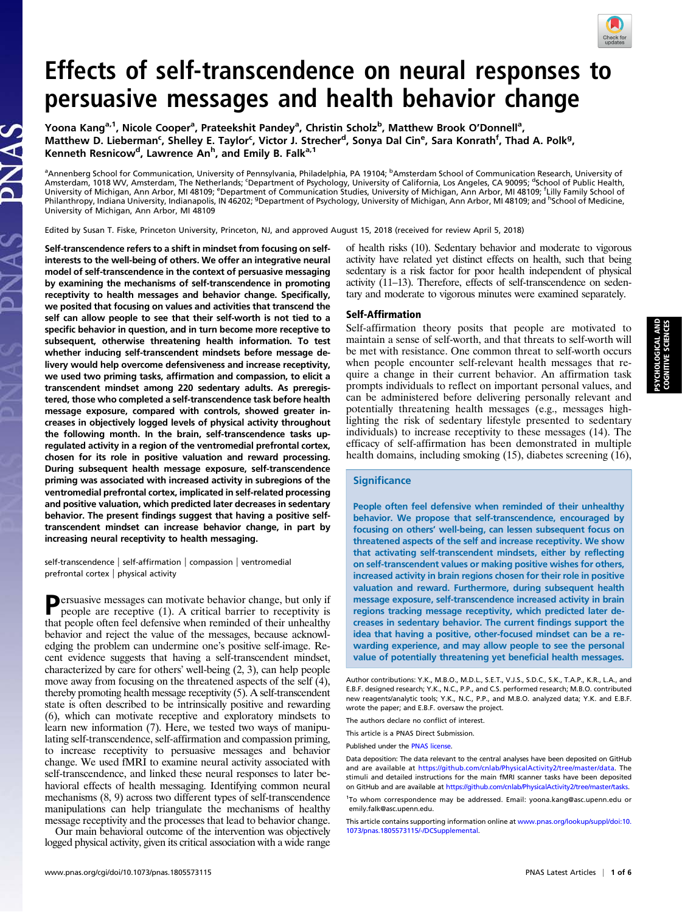

# Effects of self-transcendence on neural responses to persuasive messages and health behavior change

Yoona Kang<sup>a, 1</sup>, Nicole Cooper<sup>a</sup>, Prateekshit Pandey<sup>a</sup>, Christin Scholz<sup>b</sup>, Matthew Brook O'Donnell<sup>a</sup>, Matthew D. Lieberman<sup>c</sup>, Shelley E. Taylor<sup>c</sup>, Victor J. Strecher<sup>d</sup>, Sonya Dal Cin<sup>e</sup>, Sara Konrath<sup>f</sup>, Thad A. Polk<sup>g</sup>, Kenneth Resnicow<sup>d</sup>, Lawrence An<sup>h</sup>, and Emily B. Falk<sup>a,1</sup>

<sup>a</sup>Annenberg School for Communication, University of Pennsylvania, Philadelphia, PA 19104; <sup>b</sup>Amsterdam School of Communication Research, University of Amsterdam, 1018 WV, Amsterdam, The Netherlands; ʿDepartment of Psychology, University of California, Los Angeles, CA 90095; <sup>d</sup>School of Public Health,<br>University of Michigan, Ann Arbor, MI 48109; <sup>e</sup>Department of Communic Philanthropy, Indiana University, Indianapolis, IN 46202; <sup>g</sup>Department of Psychology, University of Michigan, Ann Arbor, MI 48109; and <sup>h</sup>School of Medicine, University of Michigan, Ann Arbor, MI 48109

Edited by Susan T. Fiske, Princeton University, Princeton, NJ, and approved August 15, 2018 (received for review April 5, 2018)

Self-transcendence refers to a shift in mindset from focusing on selfinterests to the well-being of others. We offer an integrative neural model of self-transcendence in the context of persuasive messaging by examining the mechanisms of self-transcendence in promoting receptivity to health messages and behavior change. Specifically, we posited that focusing on values and activities that transcend the self can allow people to see that their self-worth is not tied to a specific behavior in question, and in turn become more receptive to subsequent, otherwise threatening health information. To test whether inducing self-transcendent mindsets before message delivery would help overcome defensiveness and increase receptivity, we used two priming tasks, affirmation and compassion, to elicit a transcendent mindset among 220 sedentary adults. As preregistered, those who completed a self-transcendence task before health message exposure, compared with controls, showed greater increases in objectively logged levels of physical activity throughout the following month. In the brain, self-transcendence tasks upregulated activity in a region of the ventromedial prefrontal cortex, chosen for its role in positive valuation and reward processing. During subsequent health message exposure, self-transcendence priming was associated with increased activity in subregions of the ventromedial prefrontal cortex, implicated in self-related processing and positive valuation, which predicted later decreases in sedentary behavior. The present findings suggest that having a positive selftranscendent mindset can increase behavior change, in part by increasing neural receptivity to health messaging.

self-transcendence | self-affirmation | compassion | ventromedial prefrontal cortex | physical activity

Persuasive messages can motivate behavior change, but only if people are receptive (1). A critical barrier to receptivity is that people often feel defensive when reminded of their unhealthy behavior and reject the value of the messages, because acknowledging the problem can undermine one's positive self-image. Recent evidence suggests that having a self-transcendent mindset, characterized by care for others' well-being (2, 3), can help people move away from focusing on the threatened aspects of the self (4), thereby promoting health message receptivity (5). A self-transcendent state is often described to be intrinsically positive and rewarding (6), which can motivate receptive and exploratory mindsets to learn new information (7). Here, we tested two ways of manipulating self-transcendence, self-affirmation and compassion priming, to increase receptivity to persuasive messages and behavior change. We used fMRI to examine neural activity associated with self-transcendence, and linked these neural responses to later behavioral effects of health messaging. Identifying common neural mechanisms (8, 9) across two different types of self-transcendence manipulations can help triangulate the mechanisms of healthy message receptivity and the processes that lead to behavior change.

Our main behavioral outcome of the intervention was objectively logged physical activity, given its critical association with a wide range

of health risks (10). Sedentary behavior and moderate to vigorous activity have related yet distinct effects on health, such that being sedentary is a risk factor for poor health independent of physical activity (11–13). Therefore, effects of self-transcendence on sedentary and moderate to vigorous minutes were examined separately.

# Self-Affirmation

Self-affirmation theory posits that people are motivated to maintain a sense of self-worth, and that threats to self-worth will be met with resistance. One common threat to self-worth occurs when people encounter self-relevant health messages that require a change in their current behavior. An affirmation task prompts individuals to reflect on important personal values, and can be administered before delivering personally relevant and potentially threatening health messages (e.g., messages highlighting the risk of sedentary lifestyle presented to sedentary individuals) to increase receptivity to these messages (14). The efficacy of self-affirmation has been demonstrated in multiple health domains, including smoking (15), diabetes screening (16),

# **Significance**

People often feel defensive when reminded of their unhealthy behavior. We propose that self-transcendence, encouraged by focusing on others' well-being, can lessen subsequent focus on threatened aspects of the self and increase receptivity. We show that activating self-transcendent mindsets, either by reflecting on self-transcendent values or making positive wishes for others, increased activity in brain regions chosen for their role in positive valuation and reward. Furthermore, during subsequent health message exposure, self-transcendence increased activity in brain regions tracking message receptivity, which predicted later decreases in sedentary behavior. The current findings support the idea that having a positive, other-focused mindset can be a rewarding experience, and may allow people to see the personal value of potentially threatening yet beneficial health messages.

The authors declare no conflict of interest.

This article is a PNAS Direct Submission.

Published under the [PNAS license.](http://www.pnas.org/site/aboutpnas/licenses.xhtml)

Author contributions: Y.K., M.B.O., M.D.L., S.E.T., V.J.S., S.D.C., S.K., T.A.P., K.R., L.A., and E.B.F. designed research; Y.K., N.C., P.P., and C.S. performed research; M.B.O. contributed new reagents/analytic tools; Y.K., N.C., P.P., and M.B.O. analyzed data; Y.K. and E.B.F. wrote the paper; and E.B.F. oversaw the project.

Data deposition: The data relevant to the central analyses have been deposited on GitHub and are available at <https://github.com/cnlab/PhysicalActivity2/tree/master/data>. The stimuli and detailed instructions for the main fMRI scanner tasks have been deposited on GitHub and are available at [https://github.com/cnlab/PhysicalActivity2/tree/master/tasks.](https://github.com/cnlab/PhysicalActivity2/tree/master/tasks)

<sup>&</sup>lt;sup>1</sup>To whom correspondence may be addressed. Email: [yoona.kang@asc.upenn.edu](mailto:yoona.kang@asc.upenn.edu) or [emily.falk@asc.upenn.edu.](mailto:emily.falk@asc.upenn.edu)

This article contains supporting information online at [www.pnas.org/lookup/suppl/doi:10.](http://www.pnas.org/lookup/suppl/doi:10.1073/pnas.1805573115/-/DCSupplemental) [1073/pnas.1805573115/-/DCSupplemental](http://www.pnas.org/lookup/suppl/doi:10.1073/pnas.1805573115/-/DCSupplemental).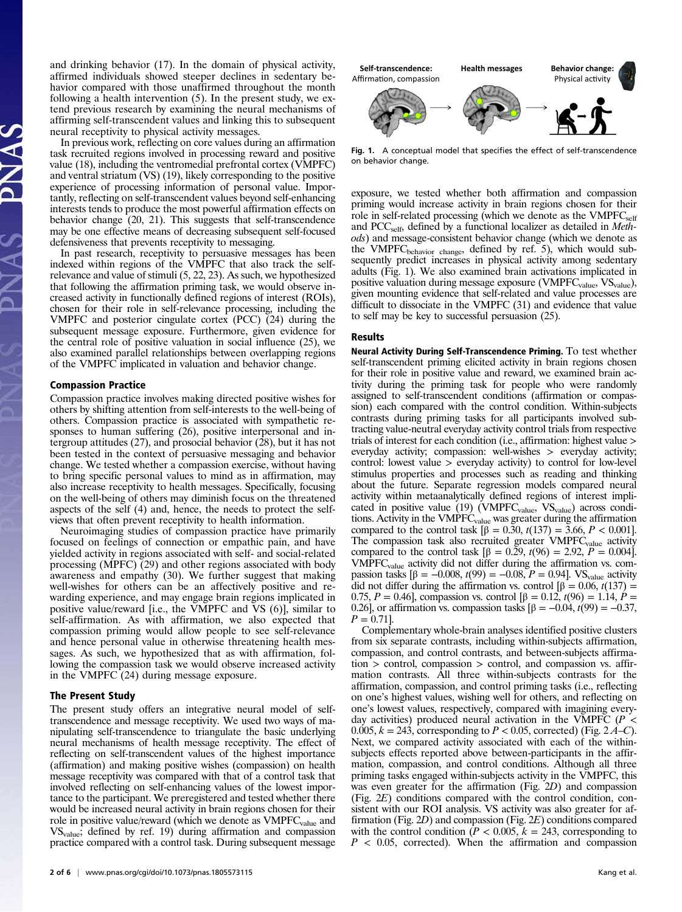and drinking behavior (17). In the domain of physical activity, affirmed individuals showed steeper declines in sedentary behavior compared with those unaffirmed throughout the month following a health intervention (5). In the present study, we extend previous research by examining the neural mechanisms of affirming self-transcendent values and linking this to subsequent neural receptivity to physical activity messages.

In previous work, reflecting on core values during an affirmation task recruited regions involved in processing reward and positive value (18), including the ventromedial prefrontal cortex (VMPFC) and ventral striatum (VS) (19), likely corresponding to the positive experience of processing information of personal value. Importantly, reflecting on self-transcendent values beyond self-enhancing interests tends to produce the most powerful affirmation effects on behavior change (20, 21). This suggests that self-transcendence may be one effective means of decreasing subsequent self-focused defensiveness that prevents receptivity to messaging.

In past research, receptivity to persuasive messages has been indexed within regions of the VMPFC that also track the selfrelevance and value of stimuli (5, 22, 23). As such, we hypothesized that following the affirmation priming task, we would observe increased activity in functionally defined regions of interest (ROIs), chosen for their role in self-relevance processing, including the VMPFC and posterior cingulate cortex (PCC) (24) during the subsequent message exposure. Furthermore, given evidence for the central role of positive valuation in social influence (25), we also examined parallel relationships between overlapping regions of the VMPFC implicated in valuation and behavior change.

#### Compassion Practice

Compassion practice involves making directed positive wishes for others by shifting attention from self-interests to the well-being of others. Compassion practice is associated with sympathetic responses to human suffering (26), positive interpersonal and intergroup attitudes (27), and prosocial behavior (28), but it has not been tested in the context of persuasive messaging and behavior change. We tested whether a compassion exercise, without having to bring specific personal values to mind as in affirmation, may also increase receptivity to health messages. Specifically, focusing on the well-being of others may diminish focus on the threatened aspects of the self (4) and, hence, the needs to protect the selfviews that often prevent receptivity to health information.

Neuroimaging studies of compassion practice have primarily focused on feelings of connection or empathic pain, and have yielded activity in regions associated with self- and social-related processing (MPFC) (29) and other regions associated with body awareness and empathy (30). We further suggest that making well-wishes for others can be an affectively positive and rewarding experience, and may engage brain regions implicated in positive value/reward [i.e., the VMPFC and VS (6)], similar to self-affirmation. As with affirmation, we also expected that compassion priming would allow people to see self-relevance and hence personal value in otherwise threatening health messages. As such, we hypothesized that as with affirmation, following the compassion task we would observe increased activity in the VMPFC (24) during message exposure.

#### The Present Study

The present study offers an integrative neural model of selftranscendence and message receptivity. We used two ways of manipulating self-transcendence to triangulate the basic underlying neural mechanisms of health message receptivity. The effect of reflecting on self-transcendent values of the highest importance (affirmation) and making positive wishes (compassion) on health message receptivity was compared with that of a control task that involved reflecting on self-enhancing values of the lowest importance to the participant. We preregistered and tested whether there would be increased neural activity in brain regions chosen for their role in positive value/reward (which we denote as  $VMPFC_{value}$  and  $VS_{value}$ ; defined by ref. 19) during affirmation and compassion practice compared with a control task. During subsequent message



Fig. 1. A conceptual model that specifies the effect of self-transcendence on behavior change.

exposure, we tested whether both affirmation and compassion priming would increase activity in brain regions chosen for their role in self-related processing (which we denote as the  $VMPFC_{self}$ and PCC<sub>self</sub>, defined by a functional localizer as detailed in *Meth*ods) and message-consistent behavior change (which we denote as the VMPFC<sub>behavior change</sub>, defined by ref. 5), which would subsequently predict increases in physical activity among sedentary adults (Fig. 1). We also examined brain activations implicated in positive valuation during message exposure (VMPFC<sub>value</sub>, VS<sub>value</sub>), given mounting evidence that self-related and value processes are difficult to dissociate in the VMPFC (31) and evidence that value to self may be key to successful persuasion (25).

#### Results

Neural Activity During Self-Transcendence Priming. To test whether self-transcendent priming elicited activity in brain regions chosen for their role in positive value and reward, we examined brain activity during the priming task for people who were randomly assigned to self-transcendent conditions (affirmation or compassion) each compared with the control condition. Within-subjects contrasts during priming tasks for all participants involved subtracting value-neutral everyday activity control trials from respective trials of interest for each condition (i.e., affirmation: highest value > everyday activity; compassion: well-wishes > everyday activity; control: lowest value > everyday activity) to control for low-level stimulus properties and processes such as reading and thinking about the future. Separate regression models compared neural activity within metaanalytically defined regions of interest implicated in positive value (19) ( $VMPFC_{value}$ ,  $VS_{value}$ ) across conditions. Activity in the VMPFC<sub>value</sub> was greater during the affirmation compared to the control task  $[\beta = 0.30, t(137) = 3.66, P < 0.001]$ . The compassion task also recruited greater VMPFC<sub>value</sub> activity compared to the control task [β = 0.29,  $t(96)$  = 2.92,  $P = 0.004$ ].  $VMPFC<sub>value</sub>$  activity did not differ during the affirmation vs. compassion tasks [β = −0.008,  $t(99) = -0.08$ ,  $P = 0.94$ ]. VS<sub>value</sub> activity did not differ during the affirmation vs. control  $\beta = 0.06$ ,  $t(137) =$ 0.75, P = 0.46], compassion vs. control  $\beta$  = 0.12,  $t(96)$  = 1.14, P = 0.26], or affirmation vs. compassion tasks  $\beta = -0.04$ ,  $t(99) = -0.37$ ,  $P = 0.71$ ].

Complementary whole-brain analyses identified positive clusters from six separate contrasts, including within-subjects affirmation, compassion, and control contrasts, and between-subjects affirma $tion$  > control, compassion > control, and compassion vs. affirmation contrasts. All three within-subjects contrasts for the affirmation, compassion, and control priming tasks (i.e., reflecting on one's highest values, wishing well for others, and reflecting on one's lowest values, respectively, compared with imagining everyday activities) produced neural activation in the VMPFC ( $P <$ 0.005,  $k = 243$ , corresponding to  $P < 0.05$ , corrected) (Fig. 2A–C). Next, we compared activity associated with each of the withinsubjects effects reported above between-participants in the affirmation, compassion, and control conditions. Although all three priming tasks engaged within-subjects activity in the VMPFC, this was even greater for the affirmation (Fig. 2D) and compassion (Fig. 2E) conditions compared with the control condition, consistent with our ROI analysis. VS activity was also greater for affirmation (Fig. 2D) and compassion (Fig. 2E) conditions compared with the control condition ( $P < 0.005$ ,  $k = 243$ , corresponding to  $P < 0.05$ , corrected). When the affirmation and compassion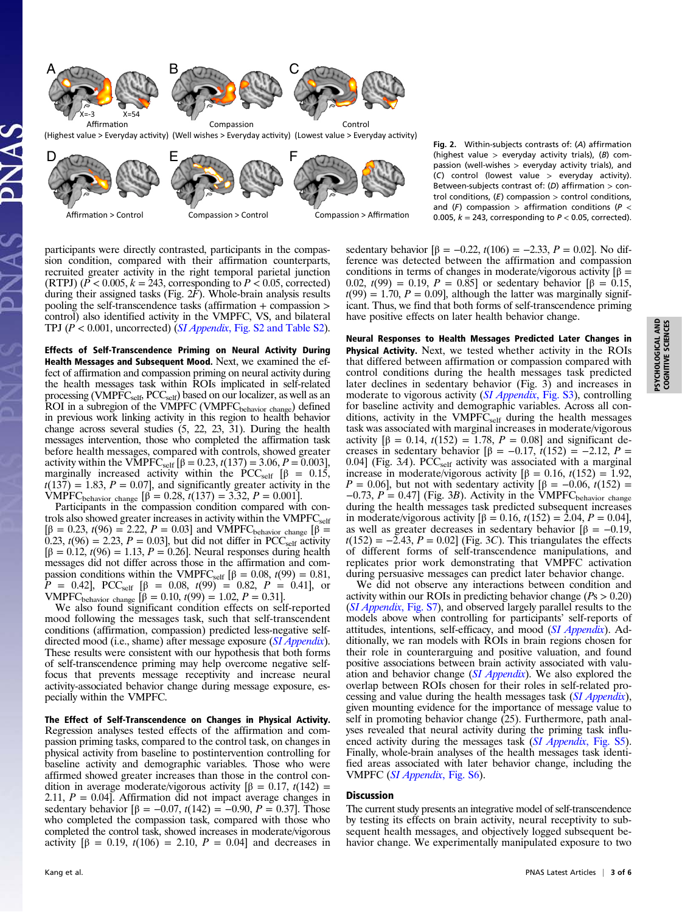

(Highest value > Everyday activity) (Well wishes > Everyday activity) (Lowest value > Everyday activity)



Fig. 2. Within-subjects contrasts of: (A) affirmation (highest value  $>$  everyday activity trials), (B) compassion (well-wishes > everyday activity trials), and (C) control (lowest value > everyday activity). Between-subjects contrast of: (D) affirmation  $>$  control conditions,  $(E)$  compassion  $>$  control conditions, and  $(F)$  compassion > affirmation conditions ( $P$  < 0.005,  $k = 243$ , corresponding to  $P < 0.05$ , corrected).

participants were directly contrasted, participants in the compassion condition, compared with their affirmation counterparts, recruited greater activity in the right temporal parietal junction (RTPJ)  $(P < 0.005, k = 243$ , corresponding to  $P < 0.05$ , corrected) during their assigned tasks (Fig.  $2F$ ). Whole-brain analysis results pooling the self-transcendence tasks (affirmation + compassion > control) also identified activity in the VMPFC, VS, and bilateral TPJ  $(P < 0.001$ , uncorrected) (*SI Appendix*[, Fig. S2 and Table S2\)](http://www.pnas.org/lookup/suppl/doi:10.1073/pnas.1805573115/-/DCSupplemental).

Effects of Self-Transcendence Priming on Neural Activity During Health Messages and Subsequent Mood. Next, we examined the effect of affirmation and compassion priming on neural activity during the health messages task within ROIs implicated in self-related processing (VMPFC $_{\rm self}$ , PCC $_{\rm self}$ ) based on our localizer, as well as an ROI in a subregion of the VMPFC (VMPFC<sub>behavior change</sub>) defined in previous work linking activity in this region to health behavior change across several studies (5, 22, 23, 31). During the health messages intervention, those who completed the affirmation task before health messages, compared with controls, showed greater activity within the VMPFC<sub>self</sub>  $[\beta = 0.23, t(137) = 3.06, P = 0.003]$ , marginally increased activity within the PCC<sub>self</sub>  $[\beta = 0.15]$ ,  $t(137) = 1.83, P = 0.07$ , and significantly greater activity in the VMPFC<sub>behavior change</sub>  $[\hat{\beta} = 0.28, t(137) = 3.32, P = 0.001].$ 

Participants in the compassion condition compared with controls also showed greater increases in activity within the  $VMPFC<sub>self</sub>$ [β = 0.23, t(96) = 2.22, P = 0.03] and VMPFC<sub>behavior change</sub> [β =  $(0.23, t(96) = 2.23, P = 0.03]$ , but did not differ in PCC<sub>self</sub> activity  $[β = 0.12, t(96) = 1.13, P = 0.26]$ . Neural responses during health messages did not differ across those in the affirmation and compassion conditions within the VMPFC<sub>self</sub> [ $\beta = 0.08$ ,  $t(99) = 0.81$ ,  $P = 0.42$ , PCC<sub>self</sub>  $\lbrack \beta = 0.08, t(99) = 0.82, P = 0.41 \rbrack$ , or VMPFC<sub>behavior change</sub> [β = 0.10, t(99) = 1.02, P = 0.31].

We also found significant condition effects on self-reported mood following the messages task, such that self-transcendent conditions (affirmation, compassion) predicted less-negative selfdirected mood (i.e., shame) after message exposure (*[SI Appendix](http://www.pnas.org/lookup/suppl/doi:10.1073/pnas.1805573115/-/DCSupplemental)*). These results were consistent with our hypothesis that both forms of self-transcendence priming may help overcome negative selffocus that prevents message receptivity and increase neural activity-associated behavior change during message exposure, especially within the VMPFC.

The Effect of Self-Transcendence on Changes in Physical Activity. Regression analyses tested effects of the affirmation and compassion priming tasks, compared to the control task, on changes in physical activity from baseline to postintervention controlling for baseline activity and demographic variables. Those who were affirmed showed greater increases than those in the control condition in average moderate/vigorous activity  $[β = 0.17, t(142) =$ 2.11,  $P = 0.04$ . Affirmation did not impact average changes in sedentary behavior  $[\beta = -0.07, t(142) = -0.90, P = 0.37]$ . Those who completed the compassion task, compared with those who completed the control task, showed increases in moderate/vigorous activity  $[\beta = 0.19, t(106) = 2.10, P = 0.04]$  and decreases in

sedentary behavior  $[\beta = -0.22, t(106) = -2.33, P = 0.02]$ . No difference was detected between the affirmation and compassion conditions in terms of changes in moderate/vigorous activity  $\beta$  = 0.02,  $t(99) = 0.19$ ,  $P = 0.85$ ] or sedentary behavior  $\beta = 0.15$ ,  $t(99) = 1.70$ ,  $P = 0.09$ , although the latter was marginally significant. Thus, we find that both forms of self-transcendence priming have positive effects on later health behavior change.

Neural Responses to Health Messages Predicted Later Changes in Physical Activity. Next, we tested whether activity in the ROIs that differed between affirmation or compassion compared with control conditions during the health messages task predicted later declines in sedentary behavior (Fig. 3) and increases in moderate to vigorous activity (*[SI Appendix](http://www.pnas.org/lookup/suppl/doi:10.1073/pnas.1805573115/-/DCSupplemental)*, Fig. S3), controlling for baseline activity and demographic variables. Across all conditions, activity in the  $VMPF\overline{C_{self}}$  during the health messages task was associated with marginal increases in moderate/vigorous activity  $[β = 0.14, t(152) = 1.78, P = 0.08]$  and significant decreases in sedentary behavior  $\beta = -0.17$ ,  $\bar{t}(152) = -2.12$ ,  $P =$ 0.04] (Fig.  $3A$ ). PCC<sub>self</sub> activity was associated with a marginal increase in moderate/vigorous activity  $[β = 0.16, t(152) = 1.92,$  $P = 0.06$ , but not with sedentary activity  $\left[\beta = -0.06, t(152)\right]$  $-0.73$ ,  $P = 0.47$ ] (Fig. 3B). Activity in the VMPFC<sub>behavior change</sub> during the health messages task predicted subsequent increases in moderate/vigorous activity  $[β = 0.16, t(152) = 2.04, P = 0.04]$ , as well as greater decreases in sedentary behavior  $[β = -0.19]$ ,  $t(152) = -2.43$ ,  $P = 0.02$  (Fig. 3C). This triangulates the effects of different forms of self-transcendence manipulations, and replicates prior work demonstrating that VMPFC activation during persuasive messages can predict later behavior change.

We did not observe any interactions between condition and activity within our ROIs in predicting behavior change ( $Ps > 0.20$ ) ([SI Appendix](http://www.pnas.org/lookup/suppl/doi:10.1073/pnas.1805573115/-/DCSupplemental), Fig. S7), and observed largely parallel results to the models above when controlling for participants' self-reports of attitudes, intentions, self-efficacy, and mood ([SI Appendix](http://www.pnas.org/lookup/suppl/doi:10.1073/pnas.1805573115/-/DCSupplemental)). Additionally, we ran models with ROIs in brain regions chosen for their role in counterarguing and positive valuation, and found positive associations between brain activity associated with valuation and behavior change ([SI Appendix](http://www.pnas.org/lookup/suppl/doi:10.1073/pnas.1805573115/-/DCSupplemental)). We also explored the overlap between ROIs chosen for their roles in self-related processing and value during the health messages task ([SI Appendix](http://www.pnas.org/lookup/suppl/doi:10.1073/pnas.1805573115/-/DCSupplemental)), given mounting evidence for the importance of message value to self in promoting behavior change (25). Furthermore, path analyses revealed that neural activity during the priming task influ-enced activity during the messages task ([SI Appendix](http://www.pnas.org/lookup/suppl/doi:10.1073/pnas.1805573115/-/DCSupplemental), Fig. S5). Finally, whole-brain analyses of the health messages task identified areas associated with later behavior change, including the VMPFC ([SI Appendix](http://www.pnas.org/lookup/suppl/doi:10.1073/pnas.1805573115/-/DCSupplemental), Fig. S6).

## Discussion

The current study presents an integrative model of self-transcendence by testing its effects on brain activity, neural receptivity to subsequent health messages, and objectively logged subsequent behavior change. We experimentally manipulated exposure to two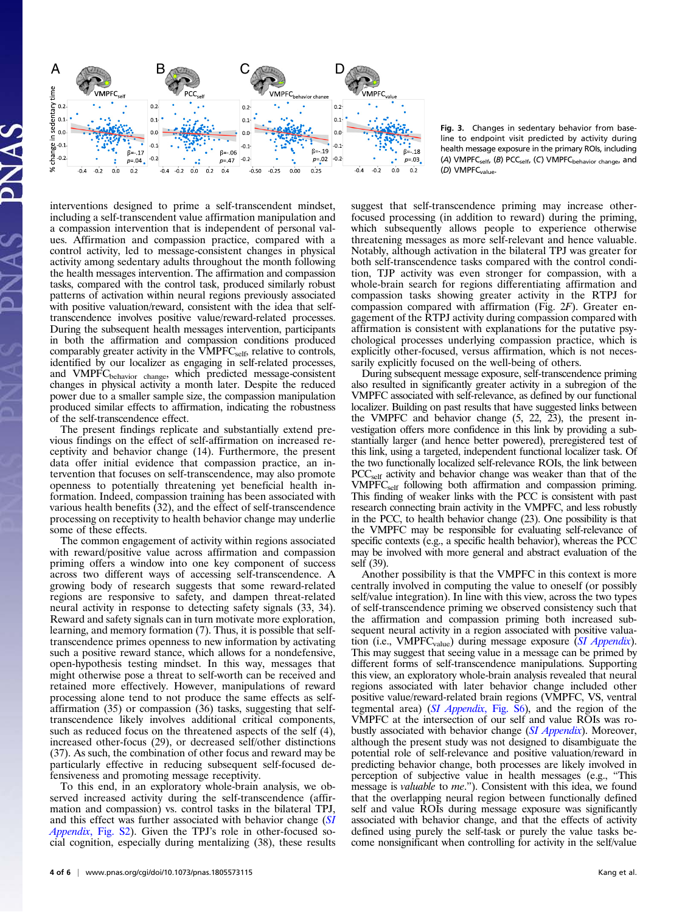

Fig. 3. Changes in sedentary behavior from baseline to endpoint visit predicted by activity during health message exposure in the primary ROIs, including (A) VMPFC<sub>self</sub>, (B) PCC<sub>self</sub>, (C) VMPFC<sub>behavior change, and</sub> (D) VMPFCvalue.

interventions designed to prime a self-transcendent mindset, including a self-transcendent value affirmation manipulation and a compassion intervention that is independent of personal values. Affirmation and compassion practice, compared with a control activity, led to message-consistent changes in physical activity among sedentary adults throughout the month following the health messages intervention. The affirmation and compassion tasks, compared with the control task, produced similarly robust patterns of activation within neural regions previously associated with positive valuation/reward, consistent with the idea that selftranscendence involves positive value/reward-related processes. During the subsequent health messages intervention, participants in both the affirmation and compassion conditions produced comparably greater activity in the  $VMPFC_{self}$ , relative to controls, identified by our localizer as engaging in self-related processes, and VMPFC<sub>behavior change</sub>, which predicted message-consistent changes in physical activity a month later. Despite the reduced power due to a smaller sample size, the compassion manipulation produced similar effects to affirmation, indicating the robustness of the self-transcendence effect.

The present findings replicate and substantially extend previous findings on the effect of self-affirmation on increased receptivity and behavior change (14). Furthermore, the present data offer initial evidence that compassion practice, an intervention that focuses on self-transcendence, may also promote openness to potentially threatening yet beneficial health information. Indeed, compassion training has been associated with various health benefits  $(32)$ , and the effect of self-transcendence processing on receptivity to health behavior change may underlie some of these effects.

The common engagement of activity within regions associated with reward/positive value across affirmation and compassion priming offers a window into one key component of success across two different ways of accessing self-transcendence. A growing body of research suggests that some reward-related regions are responsive to safety, and dampen threat-related neural activity in response to detecting safety signals (33, 34). Reward and safety signals can in turn motivate more exploration, learning, and memory formation (7). Thus, it is possible that selftranscendence primes openness to new information by activating such a positive reward stance, which allows for a nondefensive, open-hypothesis testing mindset. In this way, messages that might otherwise pose a threat to self-worth can be received and retained more effectively. However, manipulations of reward processing alone tend to not produce the same effects as selfaffirmation (35) or compassion (36) tasks, suggesting that selftranscendence likely involves additional critical components, such as reduced focus on the threatened aspects of the self (4), increased other-focus (29), or decreased self/other distinctions (37). As such, the combination of other focus and reward may be particularly effective in reducing subsequent self-focused defensiveness and promoting message receptivity.

To this end, in an exploratory whole-brain analysis, we observed increased activity during the self-transcendence (affirmation and compassion) vs. control tasks in the bilateral TPJ, and this effect was further associated with behavior change ([SI](http://www.pnas.org/lookup/suppl/doi:10.1073/pnas.1805573115/-/DCSupplemental) Appendix[, Fig. S2\)](http://www.pnas.org/lookup/suppl/doi:10.1073/pnas.1805573115/-/DCSupplemental). Given the TPJ's role in other-focused social cognition, especially during mentalizing (38), these results suggest that self-transcendence priming may increase otherfocused processing (in addition to reward) during the priming, which subsequently allows people to experience otherwise threatening messages as more self-relevant and hence valuable. Notably, although activation in the bilateral TPJ was greater for both self-transcendence tasks compared with the control condition, TJP activity was even stronger for compassion, with a whole-brain search for regions differentiating affirmation and compassion tasks showing greater activity in the RTPJ for compassion compared with affirmation (Fig. 2F). Greater engagement of the RTPJ activity during compassion compared with affirmation is consistent with explanations for the putative psychological processes underlying compassion practice, which is explicitly other-focused, versus affirmation, which is not necessarily explicitly focused on the well-being of others.

During subsequent message exposure, self-transcendence priming also resulted in significantly greater activity in a subregion of the VMPFC associated with self-relevance, as defined by our functional localizer. Building on past results that have suggested links between the VMPFC and behavior change (5, 22, 23), the present investigation offers more confidence in this link by providing a substantially larger (and hence better powered), preregistered test of this link, using a targeted, independent functional localizer task. Of the two functionally localized self-relevance ROIs, the link between PCCself activity and behavior change was weaker than that of the VMPFC<sub>self</sub> following both affirmation and compassion priming. This finding of weaker links with the PCC is consistent with past research connecting brain activity in the VMPFC, and less robustly in the PCC, to health behavior change (23). One possibility is that the VMPFC may be responsible for evaluating self-relevance of specific contexts (e.g., a specific health behavior), whereas the PCC may be involved with more general and abstract evaluation of the self (39).

Another possibility is that the VMPFC in this context is more centrally involved in computing the value to oneself (or possibly self/value integration). In line with this view, across the two types of self-transcendence priming we observed consistency such that the affirmation and compassion priming both increased subsequent neural activity in a region associated with positive valuation (i.e.,  $VMPFC_{value}$ ) during message exposure ([SI Appendix](http://www.pnas.org/lookup/suppl/doi:10.1073/pnas.1805573115/-/DCSupplemental)). This may suggest that seeing value in a message can be primed by different forms of self-transcendence manipulations. Supporting this view, an exploratory whole-brain analysis revealed that neural regions associated with later behavior change included other positive value/reward-related brain regions (VMPFC, VS, ventral tegmental area) (SI Appendix[, Fig. S6\)](http://www.pnas.org/lookup/suppl/doi:10.1073/pnas.1805573115/-/DCSupplemental), and the region of the VMPFC at the intersection of our self and value ROIs was ro-bustly associated with behavior change ([SI Appendix](http://www.pnas.org/lookup/suppl/doi:10.1073/pnas.1805573115/-/DCSupplemental)). Moreover, although the present study was not designed to disambiguate the potential role of self-relevance and positive valuation/reward in predicting behavior change, both processes are likely involved in perception of subjective value in health messages (e.g., "This message is valuable to me."). Consistent with this idea, we found that the overlapping neural region between functionally defined self and value ROIs during message exposure was significantly associated with behavior change, and that the effects of activity defined using purely the self-task or purely the value tasks become nonsignificant when controlling for activity in the self/value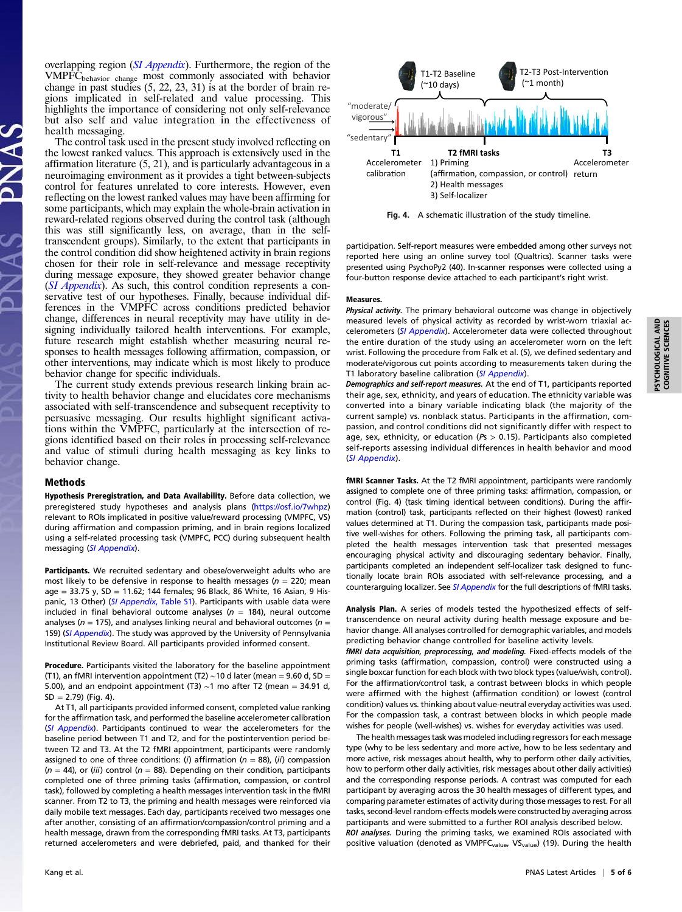overlapping region ([SI Appendix](http://www.pnas.org/lookup/suppl/doi:10.1073/pnas.1805573115/-/DCSupplemental)). Furthermore, the region of the VMPFC<sub>behavior change</sub> most commonly associated with behavior change in past studies (5, 22, 23, 31) is at the border of brain regions implicated in self-related and value processing. This highlights the importance of considering not only self-relevance but also self and value integration in the effectiveness of health messaging.

The control task used in the present study involved reflecting on the lowest ranked values. This approach is extensively used in the affirmation literature (5, 21), and is particularly advantageous in a neuroimaging environment as it provides a tight between-subjects control for features unrelated to core interests. However, even reflecting on the lowest ranked values may have been affirming for some participants, which may explain the whole-brain activation in reward-related regions observed during the control task (although this was still significantly less, on average, than in the selftranscendent groups). Similarly, to the extent that participants in the control condition did show heightened activity in brain regions chosen for their role in self-relevance and message receptivity during message exposure, they showed greater behavior change ([SI Appendix](http://www.pnas.org/lookup/suppl/doi:10.1073/pnas.1805573115/-/DCSupplemental)). As such, this control condition represents a conservative test of our hypotheses. Finally, because individual differences in the VMPFC across conditions predicted behavior change, differences in neural receptivity may have utility in designing individually tailored health interventions. For example, future research might establish whether measuring neural responses to health messages following affirmation, compassion, or other interventions, may indicate which is most likely to produce behavior change for specific individuals.

The current study extends previous research linking brain activity to health behavior change and elucidates core mechanisms associated with self-transcendence and subsequent receptivity to persuasive messaging. Our results highlight significant activations within the VMPFC, particularly at the intersection of regions identified based on their roles in processing self-relevance and value of stimuli during health messaging as key links to behavior change.

#### Methods

Hypothesis Preregistration, and Data Availability. Before data collection, we preregistered study hypotheses and analysis plans (<https://osf.io/7whpz>) relevant to ROIs implicated in positive value/reward processing (VMPFC, VS) during affirmation and compassion priming, and in brain regions localized using a self-related processing task (VMPFC, PCC) during subsequent health messaging ([SI Appendix](http://www.pnas.org/lookup/suppl/doi:10.1073/pnas.1805573115/-/DCSupplemental)).

Participants. We recruited sedentary and obese/overweight adults who are most likely to be defensive in response to health messages ( $n = 220$ ; mean age = 33.75 y, SD = 11.62; 144 females; 96 Black, 86 White, 16 Asian, 9 His-panic, 13 Other) ([SI Appendix](http://www.pnas.org/lookup/suppl/doi:10.1073/pnas.1805573115/-/DCSupplemental), Table S1). Participants with usable data were included in final behavioral outcome analyses ( $n = 184$ ), neural outcome analyses ( $n = 175$ ), and analyses linking neural and behavioral outcomes ( $n =$ 159) ([SI Appendix](http://www.pnas.org/lookup/suppl/doi:10.1073/pnas.1805573115/-/DCSupplemental)). The study was approved by the University of Pennsylvania Institutional Review Board. All participants provided informed consent.

Procedure. Participants visited the laboratory for the baseline appointment (T1), an fMRI intervention appointment (T2) ∼10 d later (mean = 9.60 d, SD = 5.00), and an endpoint appointment (T3) ∼1 mo after T2 (mean = 34.91 d,  $SD = 2.79$  (Fig. 4).

At T1, all participants provided informed consent, completed value ranking for the affirmation task, and performed the baseline accelerometer calibration ([SI Appendix](http://www.pnas.org/lookup/suppl/doi:10.1073/pnas.1805573115/-/DCSupplemental)). Participants continued to wear the accelerometers for the baseline period between T1 and T2, and for the postintervention period between T2 and T3. At the T2 fMRI appointment, participants were randomly assigned to one of three conditions: (i) affirmation ( $n = 88$ ), (ii) compassion  $(n = 44)$ , or (iii) control (n = 88). Depending on their condition, participants completed one of three priming tasks (affirmation, compassion, or control task), followed by completing a health messages intervention task in the fMRI scanner. From T2 to T3, the priming and health messages were reinforced via daily mobile text messages. Each day, participants received two messages one after another, consisting of an affirmation/compassion/control priming and a health message, drawn from the corresponding fMRI tasks. At T3, participants returned accelerometers and were debriefed, paid, and thanked for their



Fig. 4. A schematic illustration of the study timeline.

participation. Self-report measures were embedded among other surveys not reported here using an online survey tool (Qualtrics). Scanner tasks were presented using PsychoPy2 (40). In-scanner responses were collected using a four-button response device attached to each participant's right wrist.

#### Measures.

Physical activity. The primary behavioral outcome was change in objectively measured levels of physical activity as recorded by wrist-worn triaxial ac-celerometers ([SI Appendix](http://www.pnas.org/lookup/suppl/doi:10.1073/pnas.1805573115/-/DCSupplemental)). Accelerometer data were collected throughout the entire duration of the study using an accelerometer worn on the left wrist. Following the procedure from Falk et al. (5), we defined sedentary and moderate/vigorous cut points according to measurements taken during the T1 laboratory baseline calibration ([SI Appendix](http://www.pnas.org/lookup/suppl/doi:10.1073/pnas.1805573115/-/DCSupplemental)).

Demographics and self-report measures. At the end of T1, participants reported their age, sex, ethnicity, and years of education. The ethnicity variable was converted into a binary variable indicating black (the majority of the current sample) vs. nonblack status. Participants in the affirmation, compassion, and control conditions did not significantly differ with respect to age, sex, ethnicity, or education ( $Ps > 0.15$ ). Participants also completed self-reports assessing individual differences in health behavior and mood ([SI Appendix](http://www.pnas.org/lookup/suppl/doi:10.1073/pnas.1805573115/-/DCSupplemental)).

fMRI Scanner Tasks. At the T2 fMRI appointment, participants were randomly assigned to complete one of three priming tasks: affirmation, compassion, or control (Fig. 4) (task timing identical between conditions). During the affirmation (control) task, participants reflected on their highest (lowest) ranked values determined at T1. During the compassion task, participants made positive well-wishes for others. Following the priming task, all participants completed the health messages intervention task that presented messages encouraging physical activity and discouraging sedentary behavior. Finally, participants completed an independent self-localizer task designed to functionally locate brain ROIs associated with self-relevance processing, and a counterarguing localizer. See [SI Appendix](http://www.pnas.org/lookup/suppl/doi:10.1073/pnas.1805573115/-/DCSupplemental) for the full descriptions of fMRI tasks.

Analysis Plan. A series of models tested the hypothesized effects of selftranscendence on neural activity during health message exposure and behavior change. All analyses controlled for demographic variables, and models predicting behavior change controlled for baseline activity levels.

fMRI data acquisition, preprocessing, and modeling. Fixed-effects models of the priming tasks (affirmation, compassion, control) were constructed using a single boxcar function for each block with two block types (value/wish, control). For the affirmation/control task, a contrast between blocks in which people were affirmed with the highest (affirmation condition) or lowest (control condition) values vs. thinking about value-neutral everyday activities was used. For the compassion task, a contrast between blocks in which people made wishes for people (well-wishes) vs. wishes for everyday activities was used.

The health messages task was modeled including regressors for each message type (why to be less sedentary and more active, how to be less sedentary and more active, risk messages about health, why to perform other daily activities, how to perform other daily activities, risk messages about other daily activities) and the corresponding response periods. A contrast was computed for each participant by averaging across the 30 health messages of different types, and comparing parameter estimates of activity during those messages to rest. For all tasks, second-level random-effects models were constructed by averaging across participants and were submitted to a further ROI analysis described below. ROI analyses. During the priming tasks, we examined ROIs associated with

positive valuation (denoted as VMPFC<sub>value</sub>, VS<sub>value</sub>) (19). During the health